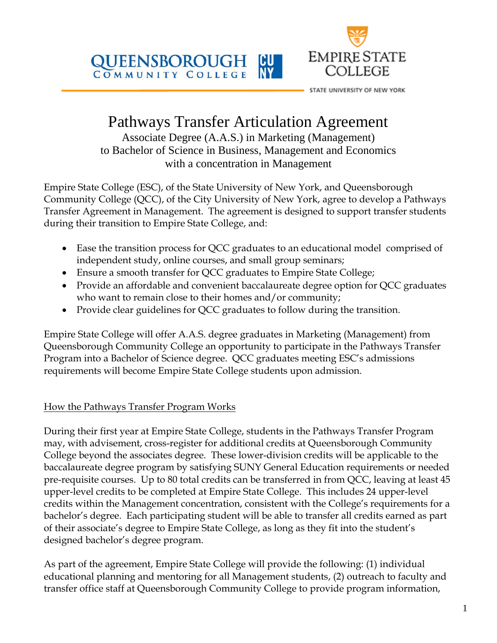

COMMUNITY COLLEGE



STATE UNIVERSITY OF NEW YORK

# Pathways Transfer Articulation Agreement

Associate Degree (A.A.S.) in Marketing (Management) to Bachelor of Science in Business, Management and Economics with a concentration in Management

Empire State College (ESC), of the State University of New York, and Queensborough Community College (QCC), of the City University of New York, agree to develop a Pathways Transfer Agreement in Management. The agreement is designed to support transfer students during their transition to Empire State College, and:

- Ease the transition process for QCC graduates to an educational model comprised of independent study, online courses, and small group seminars;
- Ensure a smooth transfer for QCC graduates to Empire State College;
- Provide an affordable and convenient baccalaureate degree option for QCC graduates who want to remain close to their homes and/or community;
- Provide clear guidelines for QCC graduates to follow during the transition.

Empire State College will offer A.A.S. degree graduates in Marketing (Management) from Queensborough Community College an opportunity to participate in the Pathways Transfer Program into a Bachelor of Science degree. QCC graduates meeting ESC's admissions requirements will become Empire State College students upon admission.

# How the Pathways Transfer Program Works

During their first year at Empire State College, students in the Pathways Transfer Program may, with advisement, cross-register for additional credits at Queensborough Community College beyond the associates degree. These lower-division credits will be applicable to the baccalaureate degree program by satisfying SUNY General Education requirements or needed pre-requisite courses. Up to 80 total credits can be transferred in from QCC, leaving at least 45 upper-level credits to be completed at Empire State College. This includes 24 upper-level credits within the Management concentration, consistent with the College's requirements for a bachelor's degree. Each participating student will be able to transfer all credits earned as part of their associate's degree to Empire State College, as long as they fit into the student's designed bachelor's degree program.

As part of the agreement, Empire State College will provide the following: (1) individual educational planning and mentoring for all Management students, (2) outreach to faculty and transfer office staff at Queensborough Community College to provide program information,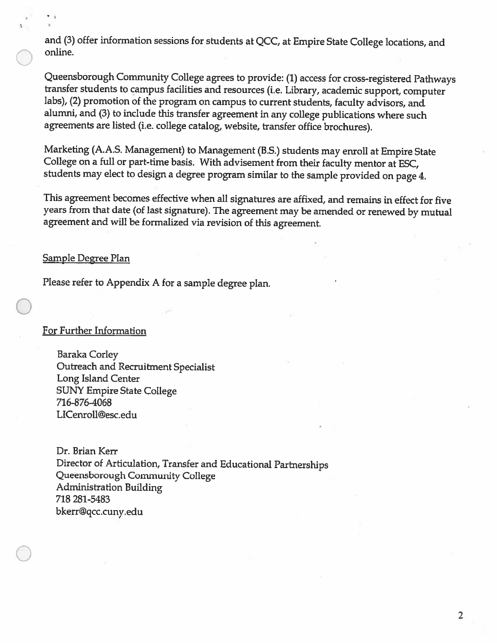and (3) offer information sessions for students at QCC, at Empire State College locations, and online.

Queensborough Community College agrees to provide: (1) access for cross-registered Pathways transfer students to campus facilities and resources (i.e. Library, academic support, computer labs), (2) promotion of the program on campus to current students, faculty advisors, and alumni, and (3) to include this transfer agreement in any college publications where such agreements are listed (i.e. college catalog, website, transfer office brochures).

Marketing (A.A.S. Management) to Management (B.S.) students may enroll at Empire State College on a full or part-time basis. With advisement from their faculty mentor at ESC, students may elect to design a degree program similar to the sample provided on page 4.

This agreement becomes effective when all signatures are affixed, and remains in effect for five years from that date (of last signature). The agreement may be amended or renewed by mutual agreement and will be formalized via revision of this agreement.

#### <u>Sample Degree Plan</u>

Please refer to Appendix A for a sample degree plan.

#### For Further Information

Baraka Corley Outreach and Recruitment Specialist Long Island Center **SUNY Empire State College** 716-876-4068 LICenroll@esc.edu

Dr. Brian Kerr Director of Articulation, Transfer and Educational Partnerships Queensborough Community College **Administration Building** 718 281-5483 bkerr@qcc.cuny.edu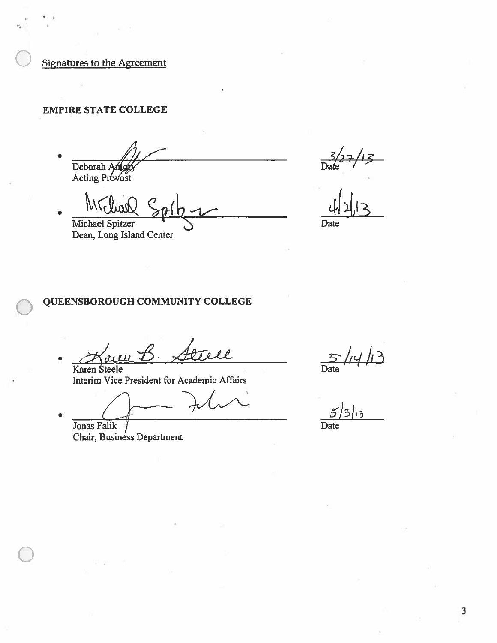**Signatures to the Agreement** 

# **EMPIRE STATE COLLEGE**

Deborah Ang

Acting Provost

Michael Spitzer Dean, Long Island Center

 $\frac{1}{\sqrt{1-\frac{1}{2}}}$ 

Date

## QUEENSBOROUGH COMMUNITY COLLEGE

 $\sqrt{A}$ ll Karen Steele

Interim Vice President for Academic Affairs

Jonas Falik Chair, Business Department

 $\sum_{\text{te}} / \frac{4}{3}$ Date

Date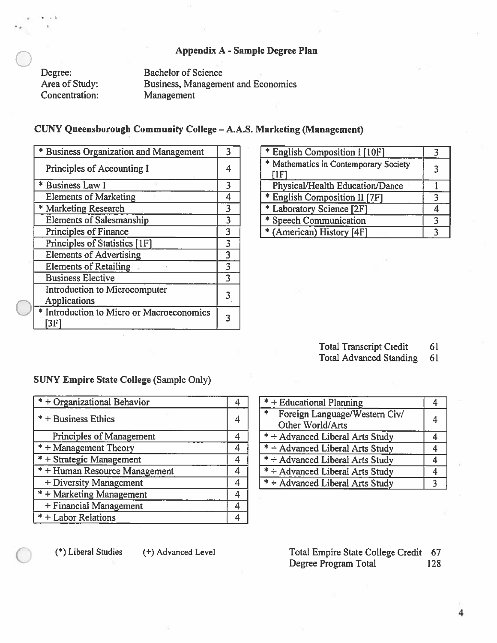## Appendix A - Sample Degree Plan

Degree: Area of Study: Concentration: **Bachelor of Science Business, Management and Economics** Management

## CUNY Queensborough Community College - A.A.S. Marketing (Management)

| * Business Organization and Management               | ٦ |
|------------------------------------------------------|---|
| Principles of Accounting I                           |   |
| * Business Law I                                     | 3 |
| <b>Elements of Marketing</b>                         | 4 |
| * Marketing Research                                 | 3 |
| <b>Elements of Salesmanship</b>                      | 3 |
| <b>Principles of Finance</b>                         | 3 |
| Principles of Statistics [1F]                        | 3 |
| <b>Elements of Advertising</b>                       | 3 |
| <b>Elements of Retailing</b>                         | 3 |
| <b>Business Elective</b>                             | 3 |
| Introduction to Microcomputer<br><b>Applications</b> |   |
| * Introduction to Micro or Macroeconomics<br>[3F     |   |

| * English Composition I [10F]                            |    |
|----------------------------------------------------------|----|
| * Mathematics in Contemporary Society<br>$\mathsf{IIFI}$ | ्र |
| Physical/Health Education/Dance                          |    |
| * English Composition II [7F]                            |    |
| * Laboratory Science [2F]                                |    |
| * Speech Communication                                   |    |
| * (American) History [4F]                                |    |

**Total Transcript Credit** 61

**Total Advanced Standing** 61

#### **SUNY Empire State College (Sample Only)**

| $* +$ Organizational Behavior   | 4 |
|---------------------------------|---|
| $* +$ Business Ethics           |   |
| <b>Principles of Management</b> | 4 |
| $* +$ Management Theory         | 4 |
| * + Strategic Management        | 4 |
| $* +$ Human Resource Management | 4 |
| + Diversity Management          | 4 |
| * + Marketing Management        | 4 |
| + Financial Management          | 4 |
| * + Labor Relations             | 4 |

| * + Educational Planning                           |   |
|----------------------------------------------------|---|
| $\overline{\ast}$<br>Foreign Language/Western Civ/ | 4 |
| Other World/Arts                                   |   |
| * + Advanced Liberal Arts Study                    |   |
| * + Advanced Liberal Arts Study                    |   |
| * + Advanced Liberal Arts Study                    | 4 |
| * + Advanced Liberal Arts Study                    |   |
| * + Advanced Liberal Arts Study                    | 3 |

(\*) Liberal Studies

(+) Advanced Level

Total Empire State College Credit 67 Degree Program Total 128